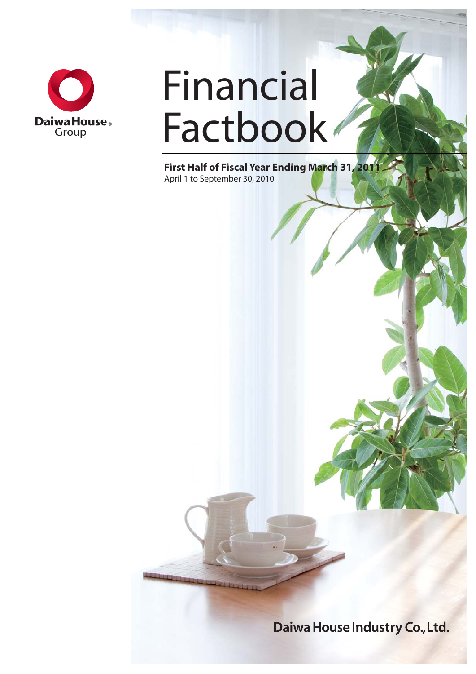

# Financial Factbook<sup>®</sup>

**First Half of Fiscal Year Ending March 31, 2011** April 1 to September 30, 2010

Daiwa House Industry Co., Ltd.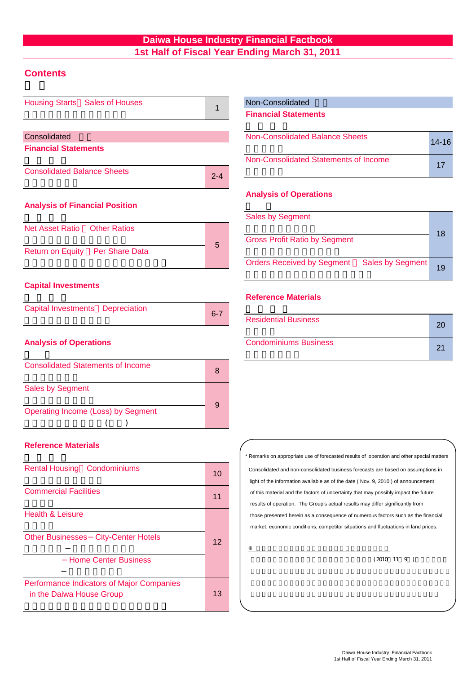#### **Daiwa House Industry Financial Factbook 1st Half of Fiscal Year Ending March 31, 2011**

#### **Contents**

| Housing Starts Sales of Houses             | 1       | Non-Consolidated                                                                                                                                              |
|--------------------------------------------|---------|---------------------------------------------------------------------------------------------------------------------------------------------------------------|
|                                            |         | <b>Financial Statements</b>                                                                                                                                   |
| Consolidated                               |         | <b>Non-Consolidated Balance Sheets</b>                                                                                                                        |
| <b>Financial Statements</b>                |         |                                                                                                                                                               |
| <b>Consolidated Balance Sheets</b>         |         | Non-Consolidated Statements of Income                                                                                                                         |
|                                            | $2 - 4$ |                                                                                                                                                               |
|                                            |         | <b>Analysis of Operations</b>                                                                                                                                 |
| <b>Analysis of Financial Position</b>      |         |                                                                                                                                                               |
|                                            |         | <b>Sales by Segment</b>                                                                                                                                       |
| Net Asset Ratio  Other Ratios              |         | <b>Gross Profit Ratio by Segment</b>                                                                                                                          |
| Return on Equity Per Share Data            | 5       |                                                                                                                                                               |
|                                            |         | <b>Orders Received by Segment</b><br><b>Sales by Segment</b>                                                                                                  |
|                                            |         |                                                                                                                                                               |
| <b>Capital Investments</b>                 |         | <b>Reference Materials</b>                                                                                                                                    |
| <b>Capital Investments Depreciation</b>    |         |                                                                                                                                                               |
|                                            | $6 - 7$ | <b>Residential Business</b>                                                                                                                                   |
| <b>Analysis of Operations</b>              |         | <b>Condominiums Business</b>                                                                                                                                  |
|                                            |         |                                                                                                                                                               |
| <b>Consolidated Statements of Income</b>   |         |                                                                                                                                                               |
|                                            | 8       |                                                                                                                                                               |
| <b>Sales by Segment</b>                    |         |                                                                                                                                                               |
|                                            | 9       |                                                                                                                                                               |
| <b>Operating Income (Loss) by Segment</b>  |         |                                                                                                                                                               |
|                                            |         |                                                                                                                                                               |
| <b>Reference Materials</b>                 |         |                                                                                                                                                               |
|                                            |         | * Remarks on appropriate use of forecasted results of operation and other speci-                                                                              |
| <b>Rental Housing Condominiums</b>         | 10      | Consolidated and non-consolidated business forecasts are based on assumpt                                                                                     |
|                                            |         | light of the information available as of the date (Nov. 9, 2010) of announcem                                                                                 |
| <b>Commercial Facilities</b>               | 11      | of this material and the factors of uncertainty that may possibly impact the fut                                                                              |
| <b>Health &amp; Leisure</b>                |         | results of operation. The Group's actual results may differ significantly from                                                                                |
|                                            |         | those presented herein as a consequence of numerous factors such as the fil<br>market, economic conditions, competitor situations and fluctuations in land pr |
| <b>Other Businesses City-Center Hotels</b> |         |                                                                                                                                                               |
|                                            | 12      |                                                                                                                                                               |

 -Home Center Business -ホームセンター 可能な情報及び将来の業績に影響を与える不確実な要因に係る仮定を前提として

**Performance Indicators of Major Companies** in the Daiwa House Group

13

#### Non-Consolidated

| Non-Consolidated Balance Sheets       | $14 - 16$ |
|---------------------------------------|-----------|
| Non-Consolidated Statements of Income | 17        |

#### **Analysis of Operations**

| <b>Sales by Segment</b><br><b>Gross Profit Ratio by Segment</b> | 18 |
|-----------------------------------------------------------------|----|
| Orders Received by Segment Sales by Segment                     | 19 |

#### **Reference Materials**

| <b>Residential Business</b>  |     |
|------------------------------|-----|
| <b>Condominiums Business</b> | -21 |

 those presented herein as a consequence of numerous factors such as the financial results of operation. The Group's actual results may differ significantly from \* Remarks on appropriate use of forecasted results of operation and other special matters light of the information available as of the date ( Nov. 9, 2010 ) of announcement market, economic conditions, competitor situations and fluctuations in land prices. of this material and the factors of uncertainty that may possibly impact the future Consolidated and non-consolidated business forecasts are based on assumptions in

 $(2010 \t11 \t9)$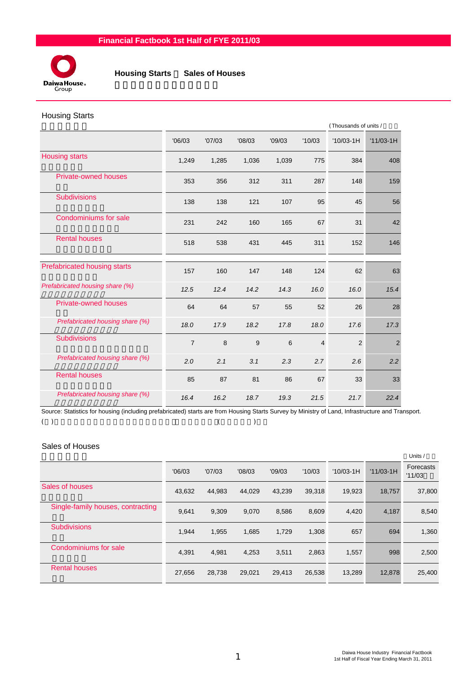

 **Housing Starts** / **Sales of Houses**

#### Housing Starts

|                                     |                |        |        |        |                | (Thousands of units / |                |  |
|-------------------------------------|----------------|--------|--------|--------|----------------|-----------------------|----------------|--|
|                                     | '06/03         | '07/03 | '08/03 | '09/03 | '10/03         | $'10/03-1H$           | $'11/03-1H$    |  |
| <b>Housing starts</b>               | 1,249          | 1,285  | 1,036  | 1,039  | 775            | 384                   | 408            |  |
| <b>Private-owned houses</b>         | 353            | 356    | 312    | 311    | 287            | 148                   | 159            |  |
| <b>Subdivisions</b>                 | 138            | 138    | 121    | 107    | 95             | 45                    | 56             |  |
| Condominiums for sale               | 231            | 242    | 160    | 165    | 67             | 31                    | 42             |  |
| <b>Rental houses</b>                | 518            | 538    | 431    | 445    | 311            | 152                   | 146            |  |
| <b>Prefabricated housing starts</b> | 157            | 160    | 147    | 148    | 124            | 62                    | 63             |  |
| Prefabricated housing share (%)     | 12.5           | 12.4   | 14.2   | 14.3   | 16.0           | 16.0                  | 15.4           |  |
| <b>Private-owned houses</b>         | 64             | 64     | 57     | 55     | 52             | 26                    | 28             |  |
| Prefabricated housing share (%)     | 18.0           | 17.9   | 18.2   | 17.8   | 18.0           | 17.6                  | 17.3           |  |
| <b>Subdivisions</b>                 | $\overline{7}$ | 8      | 9      | 6      | $\overline{4}$ | $\overline{2}$        | $\overline{2}$ |  |
| Prefabricated housing share (%)     | 2.0            | 2.1    | 3.1    | 2.3    | 2.7            | 2.6                   | 2.2            |  |
| <b>Rental houses</b>                | 85             | 87     | 81     | 86     | 67             | 33                    | 33             |  |
| Prefabricated housing share (%)     | 16.4           | 16.2   | 18.7   | 19.3   | 21.5           | 21.7                  | 22.4           |  |

Source: Statistics for housing (including prefabricated) starts are from Housing Starts Survey by Ministry of Land, Infrastructure and Transport.  $($  ) and  $($   $)$ 

#### Sales of Houses

|                                   |        |        |        |        |        |             |             | Units /             |
|-----------------------------------|--------|--------|--------|--------|--------|-------------|-------------|---------------------|
|                                   | '06/03 | '07/03 | '08/03 | '09/03 | '10/03 | $'10/03-1H$ | $'11/03-1H$ | Forecasts<br>'11/03 |
| Sales of houses                   | 43,632 | 44,983 | 44,029 | 43,239 | 39,318 | 19,923      | 18,757      | 37,800              |
| Single-family houses, contracting | 9,641  | 9,309  | 9,070  | 8,586  | 8,609  | 4,420       | 4,187       | 8,540               |
| <b>Subdivisions</b>               | 1,944  | 1,955  | 1,685  | 1,729  | 1,308  | 657         | 694         | 1,360               |
| Condominiums for sale             | 4,391  | 4,981  | 4,253  | 3,511  | 2,863  | 1,557       | 998         | 2,500               |
| <b>Rental houses</b>              | 27,656 | 28,738 | 29,021 | 29,413 | 26,538 | 13,289      | 12,878      | 25,400              |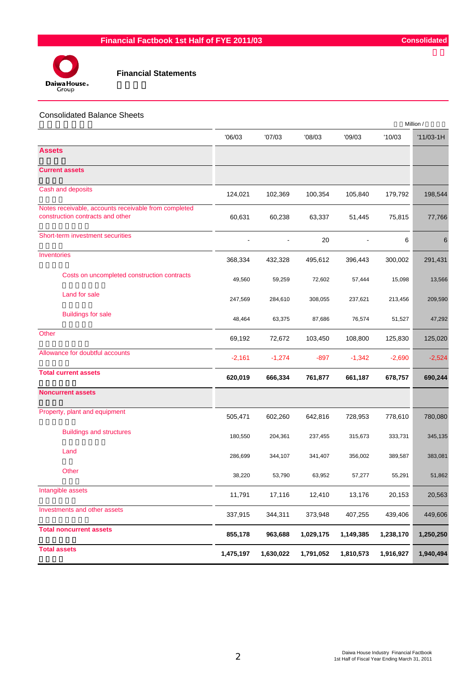



#### Consolidated Balance Sheets

|                                                                                          |           |           |           |           | Million / |             |
|------------------------------------------------------------------------------------------|-----------|-----------|-----------|-----------|-----------|-------------|
|                                                                                          | '06/03    | '07/03    | '08/03    | '09/03    | '10/03    | $'11/03-1H$ |
| <b>Assets</b>                                                                            |           |           |           |           |           |             |
| <b>Current assets</b>                                                                    |           |           |           |           |           |             |
| Cash and deposits                                                                        | 124,021   | 102,369   | 100,354   | 105,840   | 179,792   | 198,544     |
| Notes receivable, accounts receivable from completed<br>construction contracts and other | 60,631    | 60,238    | 63,337    | 51,445    | 75,815    | 77,766      |
| Short-term investment securities                                                         |           |           | 20        |           | 6         | 6           |
| Inventories                                                                              | 368,334   | 432,328   | 495,612   | 396,443   | 300,002   | 291,431     |
| Costs on uncompleted construction contracts                                              | 49,560    | 59,259    | 72,602    | 57,444    | 15,098    | 13,566      |
| Land for sale                                                                            | 247,569   | 284,610   | 308,055   | 237,621   | 213,456   | 209,590     |
| <b>Buildings for sale</b>                                                                | 48,464    | 63,375    | 87,686    | 76,574    | 51,527    | 47,292      |
| Other                                                                                    | 69,192    | 72,672    | 103,450   | 108,800   | 125,830   | 125,020     |
| Allowance for doubtful accounts                                                          | $-2,161$  | $-1,274$  | $-897$    | $-1,342$  | $-2,690$  | $-2,524$    |
| <b>Total current assets</b>                                                              | 620,019   | 666,334   | 761,877   | 661,187   | 678,757   | 690,244     |
| <b>Noncurrent assets</b>                                                                 |           |           |           |           |           |             |
| Property, plant and equipment                                                            | 505,471   | 602,260   | 642,816   | 728,953   | 778,610   | 780,080     |
| <b>Buildings and structures</b>                                                          | 180,550   | 204,361   | 237,455   | 315,673   | 333,731   | 345,135     |
| Land                                                                                     | 286,699   | 344,107   | 341,407   | 356,002   | 389,587   | 383,081     |
| Other                                                                                    | 38,220    | 53,790    | 63,952    | 57,277    | 55,291    | 51,862      |
| Intangible assets                                                                        | 11,791    | 17,116    | 12,410    | 13,176    | 20,153    | 20,563      |
| Investments and other assets                                                             | 337,915   | 344,311   | 373,948   | 407,255   | 439,406   | 449,606     |
| <b>Total noncurrent assets</b>                                                           | 855,178   | 963,688   | 1,029,175 | 1,149,385 | 1,238,170 | 1,250,250   |
| <b>Total assets</b>                                                                      | 1,475,197 | 1,630,022 | 1,791,052 | 1,810,573 | 1,916,927 | 1,940,494   |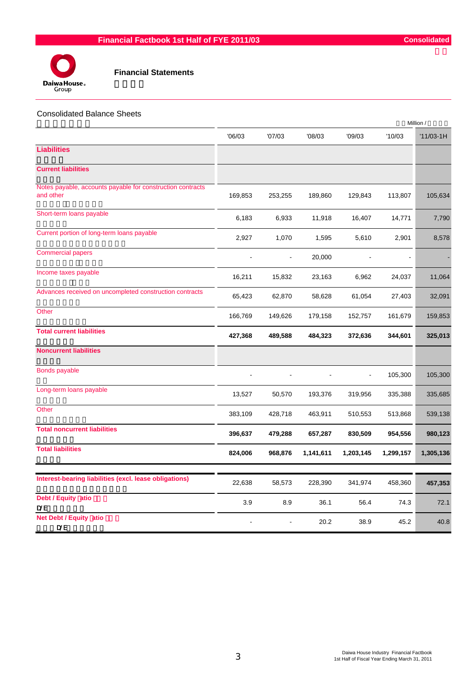



|                                                                         |         |                |           |           |           | Million /   |
|-------------------------------------------------------------------------|---------|----------------|-----------|-----------|-----------|-------------|
|                                                                         | 06/03   | '07/03         | '08/03    | '09/03    | '10/03    | $'11/03-1H$ |
| <b>Liabilities</b>                                                      |         |                |           |           |           |             |
| <b>Current liabilities</b>                                              |         |                |           |           |           |             |
| Notes payable, accounts payable for construction contracts<br>and other | 169,853 | 253,255        | 189,860   | 129,843   | 113,807   | 105,634     |
| Short-term loans payable                                                | 6,183   | 6,933          | 11,918    | 16,407    | 14,771    | 7,790       |
| Current portion of long-term loans payable                              | 2,927   | 1,070          | 1,595     | 5,610     | 2,901     | 8,578       |
| <b>Commercial papers</b>                                                |         | $\blacksquare$ | 20,000    |           |           |             |
| Income taxes payable                                                    | 16,211  | 15,832         | 23,163    | 6,962     | 24,037    | 11,064      |
| Advances received on uncompleted construction contracts                 | 65,423  | 62,870         | 58,628    | 61,054    | 27,403    | 32,091      |
| Other                                                                   | 166,769 | 149,626        | 179,158   | 152,757   | 161,679   | 159,853     |
| <b>Total current liabilities</b>                                        | 427,368 | 489,588        | 484,323   | 372,636   | 344,601   | 325,013     |
| <b>Noncurrent liabilities</b>                                           |         |                |           |           |           |             |
| <b>Bonds payable</b>                                                    |         |                |           |           | 105,300   | 105,300     |
| Long-term loans payable                                                 | 13,527  | 50,570         | 193,376   | 319,956   | 335,388   | 335,685     |
| Other                                                                   | 383,109 | 428,718        | 463,911   | 510,553   | 513,868   | 539,138     |
| <b>Total noncurrent liabilities</b>                                     | 396,637 | 479,288        | 657,287   | 830,509   | 954,556   | 980,123     |
| <b>Total liabilities</b>                                                | 824,006 | 968,876        | 1,141,611 | 1,203,145 | 1,299,157 | 1,305,136   |
|                                                                         |         |                |           |           |           |             |
| Interest-bearing liabilities (excl. lease obligations)                  | 22,638  | 58,573         | 228,390   | 341,974   | 458,360   | 457,353     |
| Debt / Equity atio<br>D/E                                               | 3.9     | 8.9            | 36.1      | 56.4      | 74.3      | 72.1        |
| <b>Net Debt / Equity atio</b><br><b>D/E</b>                             |         |                | 20.2      | 38.9      | 45.2      | 40.8        |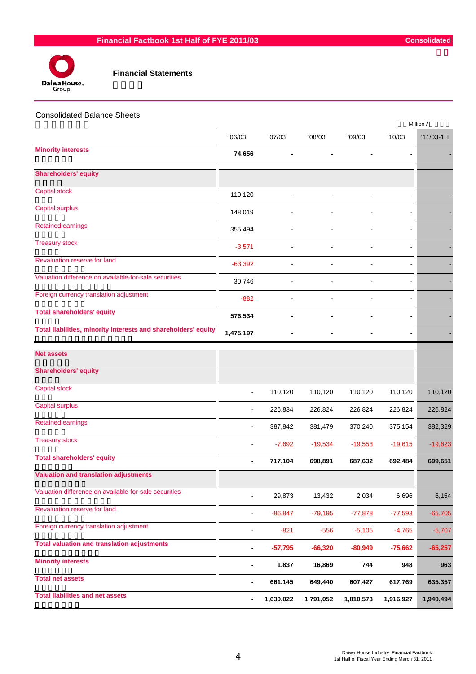

| <b>Consolidated Balance Sheets</b>                             |                          |           |                |           |           | Million /   |
|----------------------------------------------------------------|--------------------------|-----------|----------------|-----------|-----------|-------------|
|                                                                | '06/03                   | '07/03    | '08/03         | '09/03    | '10/03    | $'11/03-1H$ |
| <b>Minority interests</b>                                      | 74,656                   |           |                |           |           |             |
| <b>Shareholders' equity</b>                                    |                          |           |                |           |           |             |
| Capital stock                                                  | 110,120                  |           |                |           |           |             |
| Capital surplus                                                | 148,019                  |           |                |           |           |             |
| <b>Retained earnings</b>                                       | 355,494                  |           |                |           |           |             |
| <b>Treasury stock</b>                                          | $-3,571$                 |           | $\blacksquare$ |           |           |             |
| Revaluation reserve for land                                   | $-63,392$                |           |                |           |           |             |
| Valuation difference on available-for-sale securities          | 30,746                   |           |                |           |           |             |
| Foreign currency translation adjustment                        | $-882$                   |           |                |           |           |             |
| <b>Total shareholders' equity</b>                              | 576,534                  |           |                |           |           |             |
| Total liabilities, minority interests and shareholders' equity | 1,475,197                |           | $\blacksquare$ |           |           |             |
| <b>Net assets</b>                                              |                          |           |                |           |           |             |
| <b>Shareholders' equity</b>                                    |                          |           |                |           |           |             |
| <b>Capital stock</b>                                           | $\blacksquare$           | 110,120   | 110,120        | 110,120   | 110,120   | 110,120     |
| <b>Capital surplus</b>                                         | $\overline{\phantom{a}}$ | 226,834   | 226,824        | 226,824   | 226,824   | 226,824     |
| <b>Retained earnings</b>                                       |                          | 387,842   | 381,479        | 370,240   | 375,154   | 382,329     |
| <b>Treasury stock</b>                                          |                          | $-7,692$  | $-19,534$      | $-19,553$ | $-19,615$ | $-19,623$   |
| <b>Total shareholders' equity</b>                              |                          | 717,104   | 698,891        | 687,632   | 692,484   | 699,651     |
| <b>Valuation and translation adjustments</b>                   |                          |           |                |           |           |             |
| Valuation difference on available-for-sale securities          |                          | 29,873    | 13,432         | 2,034     | 6,696     | 6,154       |
| Revaluation reserve for land                                   | $\overline{\phantom{a}}$ | $-86,847$ | $-79,195$      | $-77,878$ | $-77,593$ | $-65,705$   |
| Foreign currency translation adjustment                        | $\overline{\phantom{a}}$ | $-821$    | $-556$         | $-5,105$  | $-4,765$  | $-5,707$    |
| <b>Total valuation and translation adjustments</b>             | -                        | $-57,795$ | $-66,320$      | $-80,949$ | $-75,662$ | $-65,257$   |
| <b>Minority interests</b>                                      | $\blacksquare$           | 1,837     | 16,869         | 744       | 948       | 963         |
| <b>Total net assets</b>                                        | ۰                        | 661,145   | 649,440        | 607,427   | 617,769   | 635,357     |
| <b>Total liabilities and net assets</b>                        | $\blacksquare$           | 1,630,022 | 1,791,052      | 1,810,573 | 1,916,927 | 1,940,494   |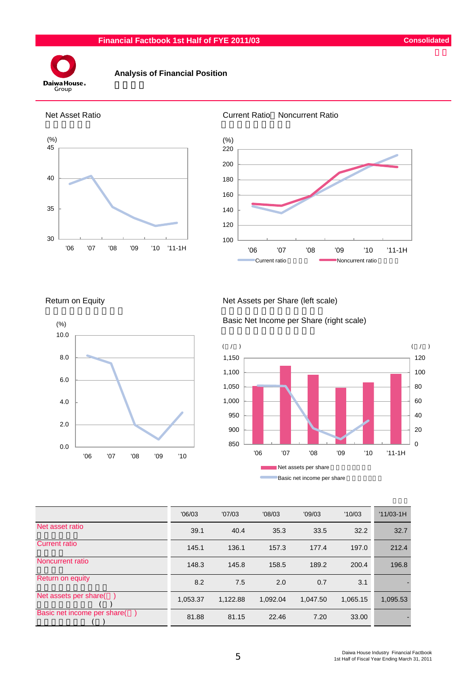

#### **Analysis of Financial Position**









Return on Equity Net Assets per Share (left scale)

Basic Net Income per Share (right scale)



|                             | '06/03   | '07/03   | '08/03   | '09/03   | '10/03   | $'11/03-1H$ |
|-----------------------------|----------|----------|----------|----------|----------|-------------|
| Net asset ratio             | 39.1     | 40.4     | 35.3     | 33.5     | 32.2     | 32.7        |
| <b>Current ratio</b>        | 145.1    | 136.1    | 157.3    | 177.4    | 197.0    | 212.4       |
| Noncurrent ratio            | 148.3    | 145.8    | 158.5    | 189.2    | 200.4    | 196.8       |
| Return on equity            | 8.2      | 7.5      | 2.0      | 0.7      | 3.1      |             |
| Net assets per share(       | 1,053.37 | 1.122.88 | 1,092.04 | 1.047.50 | 1,065.15 | 1,095.53    |
| Basic net income per share( | 81.88    | 81.15    | 22.46    | 7.20     | 33.00    |             |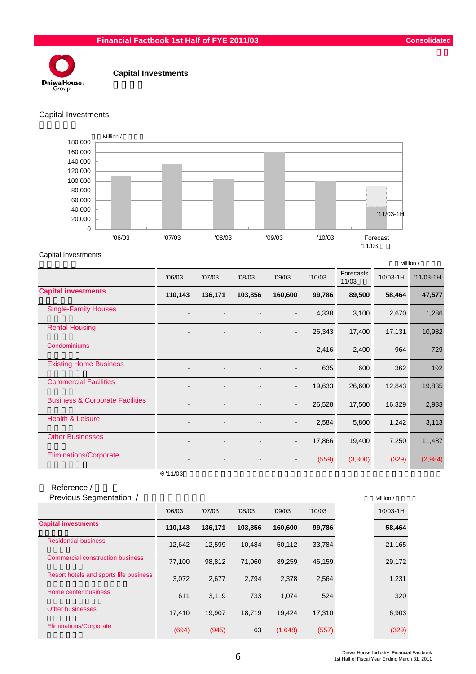

#### **Capital Investments**

#### Capital Investments



#### Capital Investments

|                                            |         |         |         |                          |        |                     |             | Million /   |
|--------------------------------------------|---------|---------|---------|--------------------------|--------|---------------------|-------------|-------------|
|                                            | '06/03  | '07/03  | '08/03  | '09/03                   | '10/03 | Forecasts<br>'11/03 | $'10/03-1H$ | $'11/03-1H$ |
| <b>Capital investments</b>                 | 110,143 | 136,171 | 103,856 | 160,600                  | 99,786 | 89,500              | 58,464      | 47,577      |
| <b>Single-Family Houses</b>                |         |         |         | $\overline{\phantom{a}}$ | 4,338  | 3,100               | 2,670       | 1,286       |
| <b>Rental Housing</b>                      |         |         |         | $\blacksquare$           | 26,343 | 17,400              | 17,131      | 10,982      |
| Condominiums                               |         |         |         | $\overline{\phantom{a}}$ | 2,416  | 2,400               | 964         | 729         |
| <b>Existing Home Business</b>              |         |         |         | $\overline{\phantom{a}}$ | 635    | 600                 | 362         | 192         |
| <b>Commercial Facilities</b>               |         |         |         | $\overline{\phantom{a}}$ | 19,633 | 26,600              | 12,843      | 19,835      |
| <b>Business &amp; Corporate Facilities</b> |         |         |         | $\blacksquare$           | 26,528 | 17,500              | 16,329      | 2,933       |
| <b>Health &amp; Leisure</b>                |         |         |         | $\overline{\phantom{a}}$ | 2,584  | 5,800               | 1,242       | 3,113       |
| <b>Other Businesses</b>                    |         |         |         | $\overline{\phantom{a}}$ | 17,866 | 19,400              | 7,250       | 11,487      |
| Eliminations/Corporate                     |         |         |         | $\overline{\phantom{a}}$ | (559)  | (3,300)             | (329)       | (2,984)     |

 $'11/03$ 

#### Reference /

| Previous Segmentation /                 |         |         |         |         |        | Million /   |
|-----------------------------------------|---------|---------|---------|---------|--------|-------------|
|                                         | '06/03  | '07/03  | '08/03  | '09/03  | '10/03 | $'10/03-1H$ |
| <b>Capital investments</b>              | 110,143 | 136,171 | 103,856 | 160,600 | 99,786 | 58,464      |
| <b>Residential business</b>             | 12,642  | 12,599  | 10.484  | 50,112  | 33,784 | 21,165      |
| <b>Commercial construction business</b> | 77,100  | 98,812  | 71,060  | 89,259  | 46,159 | 29,172      |
| Resort hotels and sports life business  | 3,072   | 2,677   | 2,794   | 2,378   | 2,564  | 1,231       |
| Home center business                    | 611     | 3.119   | 733     | 1.074   | 524    | 320         |
| <b>Other businesses</b>                 | 17,410  | 19.907  | 18.719  | 19.424  | 17,310 | 6,903       |
| <b>Eliminations/Corporate</b>           | (694)   | (945)   | 63      | (1,648) | (557)  | (329)       |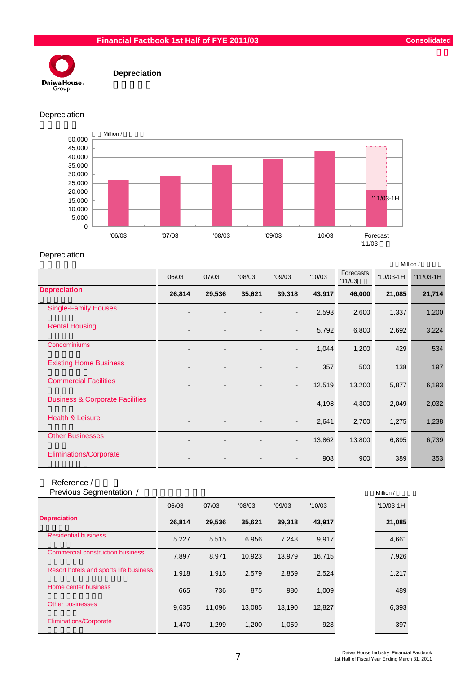#### **Financial Factbook 1st Half of FYE 2011/03 Consolidated**



 **Depreciation**

#### Depreciation



#### Depreciation

|                                            |                          |                          |        |                          |        |                     | Million /   |             |  |
|--------------------------------------------|--------------------------|--------------------------|--------|--------------------------|--------|---------------------|-------------|-------------|--|
|                                            | '06/03                   | '07/03                   | '08/03 | '09/03                   | '10/03 | Forecasts<br>'11/03 | $'10/03-1H$ | $'11/03-1H$ |  |
| <b>Depreciation</b>                        | 26,814                   | 29,536                   | 35,621 | 39,318                   | 43,917 | 46,000              | 21,085      | 21,714      |  |
| <b>Single-Family Houses</b>                |                          |                          |        | $\overline{\phantom{a}}$ | 2,593  | 2,600               | 1,337       | 1,200       |  |
| <b>Rental Housing</b>                      | $\blacksquare$           | $\blacksquare$           |        | $\overline{\phantom{a}}$ | 5,792  | 6,800               | 2,692       | 3,224       |  |
| Condominiums                               |                          |                          |        | $\overline{\phantom{a}}$ | 1,044  | 1,200               | 429         | 534         |  |
| <b>Existing Home Business</b>              | $\blacksquare$           | $\overline{a}$           |        | $\blacksquare$           | 357    | 500                 | 138         | 197         |  |
| <b>Commercial Facilities</b>               |                          |                          |        | $\overline{\phantom{a}}$ | 12,519 | 13,200              | 5,877       | 6,193       |  |
| <b>Business &amp; Corporate Facilities</b> |                          | $\overline{\phantom{0}}$ |        | $\overline{\phantom{a}}$ | 4,198  | 4,300               | 2,049       | 2,032       |  |
| <b>Health &amp; Leisure</b>                | $\overline{\phantom{0}}$ | $\overline{a}$           |        | $\overline{\phantom{a}}$ | 2,641  | 2,700               | 1,275       | 1,238       |  |
| <b>Other Businesses</b>                    |                          | $\overline{a}$           |        | $\overline{\phantom{a}}$ | 13,862 | 13,800              | 6,895       | 6,739       |  |
| <b>Eliminations/Corporate</b>              | $\blacksquare$           | $\overline{\phantom{0}}$ |        | $\blacksquare$           | 908    | 900                 | 389         | 353         |  |

## Reference /<br>Previous Ser

| Previous Segmentation /                 |        |        |        |        |        | Million /   |
|-----------------------------------------|--------|--------|--------|--------|--------|-------------|
|                                         | '06/03 | '07/03 | '08/03 | '09/03 | '10/03 | $'10/03-1H$ |
| <b>Depreciation</b>                     | 26.814 | 29,536 | 35,621 | 39,318 | 43,917 | 21,085      |
| <b>Residential business</b>             | 5,227  | 5,515  | 6.956  | 7.248  | 9,917  | 4,661       |
| <b>Commercial construction business</b> | 7,897  | 8,971  | 10.923 | 13.979 | 16,715 | 7,926       |
| Resort hotels and sports life business  | 1,918  | 1,915  | 2,579  | 2,859  | 2,524  | 1,217       |
| Home center business                    | 665    | 736    | 875    | 980    | 1,009  | 489         |
| <b>Other businesses</b>                 | 9,635  | 11,096 | 13.085 | 13,190 | 12,827 | 6,393       |
| <b>Eliminations/Corporate</b>           | 1,470  | 1,299  | 1,200  | 1,059  | 923    | 397         |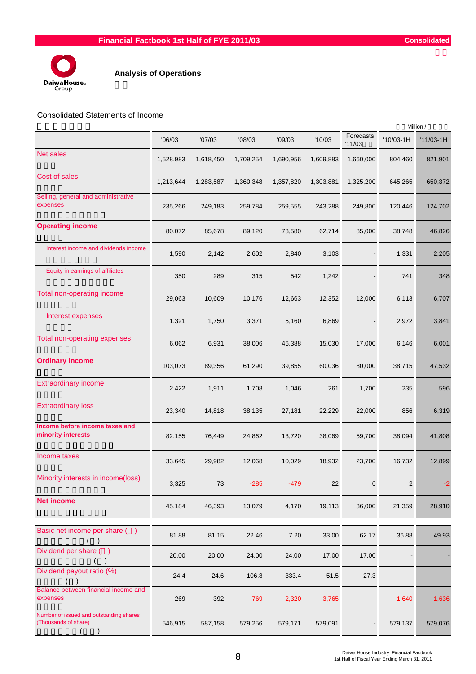



#### **Analysis of Operations**

#### Consolidated Statements of Income

|           |           |           |           |           | Million /           |                |             |
|-----------|-----------|-----------|-----------|-----------|---------------------|----------------|-------------|
| '06/03    | '07/03    | '08/03    | '09/03    | '10/03    | Forecasts<br>'11/03 | $'10/03-1H$    | $'11/03-1H$ |
| 1,528,983 | 1,618,450 | 1,709,254 | 1,690,956 | 1,609,883 | 1,660,000           | 804,460        | 821,901     |
| 1,213,644 | 1,283,587 | 1,360,348 | 1,357,820 | 1,303,881 | 1,325,200           | 645,265        | 650,372     |
| 235,266   | 249,183   | 259,784   | 259,555   | 243,288   | 249,800             | 120,446        | 124,702     |
| 80,072    | 85,678    | 89,120    | 73,580    | 62,714    | 85,000              | 38,748         | 46,826      |
| 1,590     | 2,142     | 2,602     | 2,840     | 3,103     |                     | 1,331          | 2,205       |
| 350       | 289       | 315       | 542       | 1,242     |                     | 741            | 348         |
| 29,063    | 10,609    | 10,176    | 12,663    | 12,352    | 12,000              | 6,113          | 6,707       |
| 1,321     | 1,750     | 3,371     | 5,160     | 6,869     |                     | 2,972          | 3,841       |
| 6,062     | 6,931     | 38,006    | 46,388    | 15,030    | 17,000              | 6,146          | 6,001       |
| 103,073   | 89,356    | 61,290    | 39,855    | 60,036    | 80,000              | 38,715         | 47,532      |
| 2,422     | 1,911     | 1,708     | 1,046     | 261       | 1,700               | 235            | 596         |
| 23,340    | 14,818    | 38,135    | 27,181    | 22,229    | 22,000              | 856            | 6,319       |
| 82,155    | 76,449    | 24,862    | 13,720    | 38,069    | 59,700              | 38,094         | 41,808      |
| 33,645    | 29,982    | 12,068    | 10,029    | 18,932    | 23,700              | 16,732         | 12,899      |
| 3,325     | 73        | $-285$    | $-479$    | 22        | 0                   | $\overline{c}$ |             |
| 45,184    | 46,393    | 13,079    | 4,170     | 19,113    | 36,000              | 21,359         | 28,910      |
| 81.88     | 81.15     | 22.46     | 7.20      | 33.00     | 62.17               | 36.88          | 49.93       |
| 20.00     | 20.00     | 24.00     | 24.00     | 17.00     | 17.00               |                |             |
| 24.4      | 24.6      | 106.8     | 333.4     | 51.5      | 27.3                |                |             |
| 269       | 392       | $-769$    | $-2,320$  | $-3,765$  |                     | $-1,640$       | $-1,636$    |
| 546,915   | 587,158   | 579,256   | 579,171   | 579,091   |                     | 579,137        | 579,076     |
|           |           |           |           |           |                     |                |             |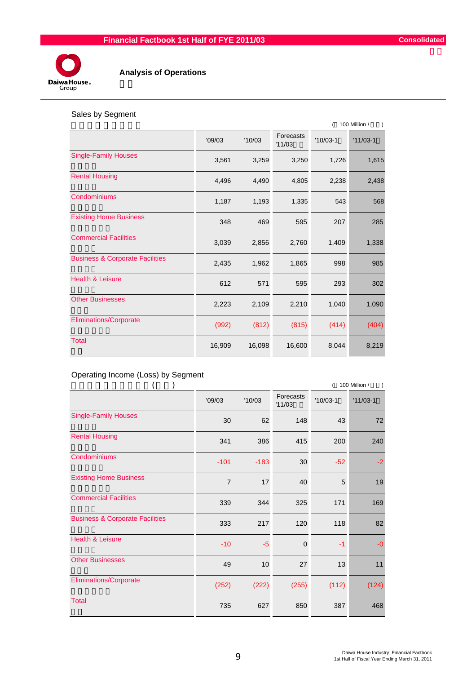

### **Analysis of Operations**

#### Sales by Segment

|                                            |        |        |                     | 100 Million / |            |  |
|--------------------------------------------|--------|--------|---------------------|---------------|------------|--|
|                                            | '09/03 | '10/03 | Forecasts<br>'11/03 | $'10/03-1$    | $'11/03-1$ |  |
| <b>Single-Family Houses</b>                | 3,561  | 3,259  | 3,250               | 1,726         | 1,615      |  |
| <b>Rental Housing</b>                      | 4,496  | 4,490  | 4,805               | 2,238         | 2,438      |  |
| Condominiums                               | 1,187  | 1,193  | 1,335               | 543           | 568        |  |
| <b>Existing Home Business</b>              | 348    | 469    | 595                 | 207           | 285        |  |
| <b>Commercial Facilities</b>               | 3,039  | 2,856  | 2,760               | 1,409         | 1,338      |  |
| <b>Business &amp; Corporate Facilities</b> | 2,435  | 1,962  | 1,865               | 998           | 985        |  |
| <b>Health &amp; Leisure</b>                | 612    | 571    | 595                 | 293           | 302        |  |
| <b>Other Businesses</b>                    | 2,223  | 2,109  | 2,210               | 1,040         | 1,090      |  |
| <b>Eliminations/Corporate</b>              | (992)  | (812)  | (815)               | (414)         | (404)      |  |
| <b>Total</b>                               | 16,909 | 16,098 | 16,600              | 8,044         | 8,219      |  |

#### Operating Income (Loss) by Segment

|                                            |                |        | 100 Million /              |            |            |
|--------------------------------------------|----------------|--------|----------------------------|------------|------------|
|                                            | '09/03         | '10/03 | <b>Forecasts</b><br>'11/03 | $'10/03-1$ | $'11/03-1$ |
| <b>Single-Family Houses</b>                | 30             | 62     | 148                        | 43         | 72         |
| <b>Rental Housing</b>                      | 341            | 386    | 415                        | 200        | 240        |
| Condominiums                               | $-101$         | $-183$ | 30                         | $-52$      | -2         |
| <b>Existing Home Business</b>              | $\overline{7}$ | 17     | 40                         | 5          | 19         |
| <b>Commercial Facilities</b>               | 339            | 344    | 325                        | 171        | 169        |
| <b>Business &amp; Corporate Facilities</b> | 333            | 217    | 120                        | 118        | 82         |
| <b>Health &amp; Leisure</b>                | $-10$          | $-5$   | $\mathbf 0$                | $-1$       | $-0$       |
| <b>Other Businesses</b>                    | 49             | 10     | 27                         | 13         | 11         |
| Eliminations/Corporate                     | (252)          | (222)  | (255)                      | (112)      | (124)      |
| <b>Total</b>                               | 735            | 627    | 850                        | 387        | 468        |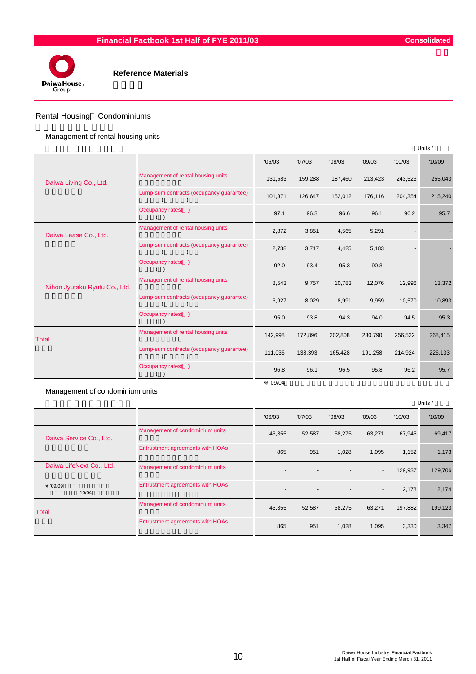



#### Rental Housing Condominiums

Management of rental housing units

|                               |                                          |         |         |         |         |         | Units / |
|-------------------------------|------------------------------------------|---------|---------|---------|---------|---------|---------|
|                               |                                          | '06/03  | '07/03  | '08/03  | '09/03  | '10/03  | '10/09  |
| Daiwa Living Co., Ltd.        | Management of rental housing units       | 131,583 | 159,288 | 187,460 | 213,423 | 243,526 | 255,043 |
|                               | Lump-sum contracts (occupancy guarantee) | 101,371 | 126.647 | 152,012 | 176,116 | 204,354 | 215,240 |
|                               | Occupancy rates()                        | 97.1    | 96.3    | 96.6    | 96.1    | 96.2    | 95.7    |
| Daiwa Lease Co., Ltd.         | Management of rental housing units       | 2,872   | 3,851   | 4,565   | 5,291   |         |         |
|                               | Lump-sum contracts (occupancy guarantee) | 2,738   | 3,717   | 4,425   | 5,183   |         |         |
|                               | Occupancy rates()                        | 92.0    | 93.4    | 95.3    | 90.3    |         |         |
| Nihon Jyutaku Ryutu Co., Ltd. | Management of rental housing units       | 8,543   | 9,757   | 10,783  | 12,076  | 12,996  | 13,372  |
|                               | Lump-sum contracts (occupancy guarantee) | 6,927   | 8,029   | 8,991   | 9,959   | 10,570  | 10,893  |
|                               | Occupancy rates()                        | 95.0    | 93.8    | 94.3    | 94.0    | 94.5    | 95.3    |
| <b>Total</b>                  | Management of rental housing units       | 142,998 | 172,896 | 202,808 | 230,790 | 256,522 | 268,415 |
|                               | Lump-sum contracts (occupancy guarantee) | 111,036 | 138,393 | 165,428 | 191,258 | 214,924 | 226,133 |
|                               | Occupancy rates()                        | 96.8    | 96.1    | 96.5    | 95.8    | 96.2    | 95.7    |
|                               |                                          | '09/04  |         |         |         |         |         |

Management of condominium units

|                          |                                  |                          |                |                          |                          |         | Units / |
|--------------------------|----------------------------------|--------------------------|----------------|--------------------------|--------------------------|---------|---------|
|                          |                                  | '06/03                   | '07/03         | '08/03                   | '09/03                   | '10/03  | '10/09  |
| Daiwa Service Co., Ltd.  | Management of condominium units  | 46,355                   | 52,587         | 58,275                   | 63,271                   | 67,945  | 69,417  |
|                          | Entrustment agreements with HOAs | 865                      | 951            | 1,028                    | 1,095                    | 1,152   | 1,173   |
| Daiwa LifeNext Co., Ltd. | Management of condominium units  |                          |                |                          | $\overline{\phantom{a}}$ | 129,937 | 129,706 |
| '09/09<br>'10/04         | Entrustment agreements with HOAs | $\overline{\phantom{a}}$ | $\overline{a}$ | $\overline{\phantom{a}}$ | $\blacksquare$           | 2,178   | 2,174   |
| <b>Total</b>             | Management of condominium units  | 46,355                   | 52,587         | 58,275                   | 63,271                   | 197,882 | 199,123 |
|                          | Entrustment agreements with HOAs | 865                      | 951            | 1,028                    | 1,095                    | 3,330   | 3,347   |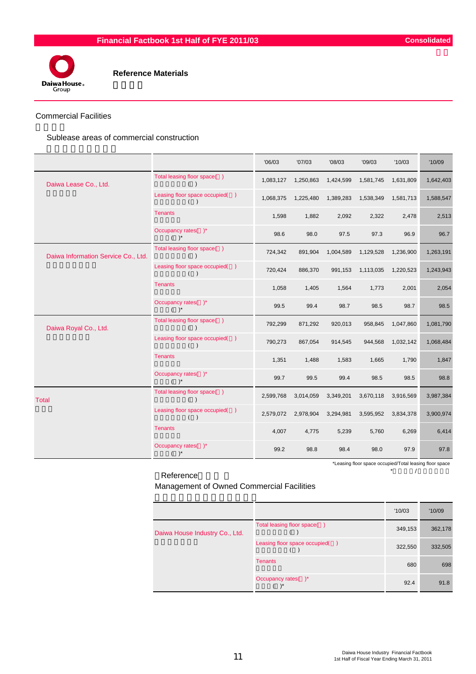

#### Commercial Facilities

Sublease areas of commercial construction

|                                     |                                       | '06/03    | '07/03    | '08/03    | '09/03    | '10/03    | '10/09    |
|-------------------------------------|---------------------------------------|-----------|-----------|-----------|-----------|-----------|-----------|
| Daiwa Lease Co., Ltd.               | Total leasing floor space()<br>( )    | 1,083,127 | 1,250,863 | 1,424,599 | 1,581,745 | 1,631,809 | 1,642,403 |
|                                     | Leasing floor space occupied()<br>( ) | 1,068,375 | 1,225,480 | 1,389,283 | 1,538,349 | 1,581,713 | 1,588,547 |
|                                     | <b>Tenants</b>                        | 1,598     | 1,882     | 2,092     | 2,322     | 2,478     | 2,513     |
|                                     | Occupancy rates()*<br>$( )^*$         | 98.6      | 98.0      | 97.5      | 97.3      | 96.9      | 96.7      |
| Daiwa Information Service Co., Ltd. | Total leasing floor space()<br>( )    | 724,342   | 891,904   | 1,004,589 | 1,129,528 | 1,236,900 | 1,263,191 |
|                                     | Leasing floor space occupied()<br>( ) | 720,424   | 886,370   | 991,153   | 1,113,035 | 1,220,523 | 1,243,943 |
|                                     | <b>Tenants</b>                        | 1,058     | 1,405     | 1,564     | 1,773     | 2,001     | 2,054     |
|                                     | Occupancy rates()*<br>$( )^*$         | 99.5      | 99.4      | 98.7      | 98.5      | 98.7      | 98.5      |
| Daiwa Royal Co., Ltd.               | Total leasing floor space()<br>( )    | 792,299   | 871,292   | 920,013   | 958,845   | 1,047,860 | 1,081,790 |
|                                     | Leasing floor space occupied()<br>( ) | 790,273   | 867,054   | 914,545   | 944,568   | 1,032,142 | 1,068,484 |
|                                     | <b>Tenants</b>                        | 1,351     | 1,488     | 1,583     | 1,665     | 1,790     | 1,847     |
|                                     | Occupancy rates()*<br>$( )^*$         | 99.7      | 99.5      | 99.4      | 98.5      | 98.5      | 98.8      |
| <b>Total</b>                        | Total leasing floor space()<br>( )    | 2,599,768 | 3,014,059 | 3,349,201 | 3,670,118 | 3,916,569 | 3,987,384 |
|                                     | Leasing floor space occupied()<br>( ) | 2,579,072 | 2,978,904 | 3,294,981 | 3,595,952 | 3,834,378 | 3,900,974 |
|                                     | <b>Tenants</b>                        | 4,007     | 4,775     | 5,239     | 5,760     | 6,269     | 6,414     |
|                                     | Occupancy rates()*<br>$( )^*$         | 99.2      | 98.8      | 98.4      | 98.0      | 97.9      | 97.8      |

\*Leasing floor space occupied/Total leasing floor space

Reference \*  $\qquad \qquad \wedge$ 

Management of Owned Commercial Facilities

|                                |                                | '10/03  | '10/09  |
|--------------------------------|--------------------------------|---------|---------|
| Daiwa House Industry Co., Ltd. | Total leasing floor space()    | 349,153 | 362,178 |
|                                | Leasing floor space occupied() | 322,550 | 332,505 |
|                                | <b>Tenants</b>                 | 680     | 698     |
|                                | Occupancy rates()*             | 92.4    | 91.8    |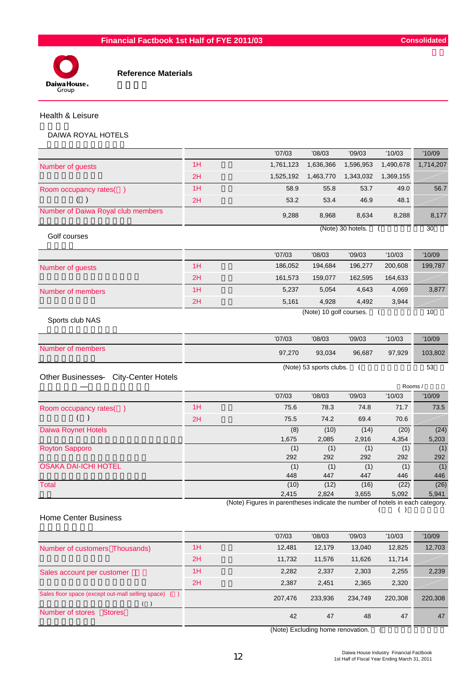



#### Health & Leisure

#### DAIWA ROYAL HOTELS

|                                                      |    | '07/03                                                                        | '08/03                  | '09/03            | '10/03         | '10/09          |
|------------------------------------------------------|----|-------------------------------------------------------------------------------|-------------------------|-------------------|----------------|-----------------|
| Number of guests                                     | 1H | 1,761,123                                                                     | 1,636,366               | 1,596,953         | 1,490,678      | 1,714,207       |
|                                                      | 2H | 1,525,192                                                                     | 1,463,770               | 1,343,032         | 1,369,155      |                 |
| Room occupancy rates()                               | 1H | 58.9                                                                          | 55.8                    | 53.7              | 49.0           | 56.7            |
|                                                      | 2H | 53.2                                                                          | 53.4                    | 46.9              | 48.1           |                 |
| Number of Daiwa Royal club members                   |    | 9,288                                                                         | 8,968                   | 8,634             | 8,288          | 8,177           |
| Golf courses                                         |    |                                                                               |                         | (Note) 30 hotels. |                | $\overline{30}$ |
|                                                      |    | '07/03                                                                        | '08/03                  | '09/03            | '10/03         | '10/09          |
| Number of guests                                     | 1H | 186,052                                                                       | 194,684                 | 196,277           | 200,608        | 199,787         |
|                                                      | 2H | 161,573                                                                       | 159,077                 | 162,595           | 164,633        |                 |
| Number of members                                    | 1H | 5,237                                                                         | 5,054                   | 4,643             | 4,069          | 3,877           |
|                                                      | 2H | 5,161                                                                         | 4,928                   | 4,492             | 3,944          |                 |
| Sports club NAS                                      |    |                                                                               | (Note) 10 golf courses. |                   |                | 10              |
|                                                      |    | '07/03                                                                        | '08/03                  | '09/03            | '10/03         | '10/09          |
| Number of members                                    |    | 97,270                                                                        | 93,034                  | 96,687            | 97,929         | 103,802         |
| <b>City-Center Hotels</b><br><b>Other Businesses</b> |    |                                                                               | (Note) 53 sports clubs. | $\overline{(\ }$  |                | 53              |
|                                                      |    | '07/03                                                                        | '08/03                  | '09/03            | Rooms /        |                 |
|                                                      | 1H | 75.6                                                                          | 78.3                    | 74.8              | '10/03<br>71.7 | '10/09<br>73.5  |
| Room occupancy rates()                               | 2H | 75.5                                                                          | 74.2                    | 69.4              | 70.6           |                 |
| <b>Daiwa Roynet Hotels</b>                           |    | (8)                                                                           | (10)                    | (14)              | (20)           | (24)            |
|                                                      |    | 1,675                                                                         | 2,085                   | 2,916             | 4,354          | 5,203           |
| <b>Royton Sapporo</b>                                |    | (1)                                                                           | (1)                     | (1)               | (1)            | (1)             |
|                                                      |    | 292                                                                           | 292                     | 292               | 292            | 292             |
| <b>OSAKA DAI-ICHI HOTEL</b>                          |    | (1)                                                                           | (1)                     | (1)               | (1)            | (1)             |
| <b>Total</b>                                         |    | 448<br>(10)                                                                   | 447                     | 447               | 446            | 446<br>(26)     |
|                                                      |    | 2,415                                                                         | (12)<br>2,824           | (16)<br>3,655     | (22)<br>5,092  | 5,941           |
|                                                      |    | (Note) Figures in parentheses indicate the number of hotels in each category. |                         |                   | ( )<br>(       |                 |

#### Home Center Business

|                                                     |    | '07/03  | '08/03  | '09/03  | '10/03  | '10/09  |
|-----------------------------------------------------|----|---------|---------|---------|---------|---------|
| Number of customers Thousands)                      | 1H | 12,481  | 12,179  | 13,040  | 12,825  | 12,703  |
|                                                     | 2H | 11.732  | 11,576  | 11.626  | 11,714  |         |
| Sales account per customer                          | 1H | 2,282   | 2,337   | 2,303   | 2,255   | 2,239   |
|                                                     | 2H | 2,387   | 2.451   | 2,365   | 2,320   |         |
| Sales floor space (except out-mall selling space) ( |    | 207,476 | 233,936 | 234.749 | 220,308 | 220,308 |
| Number of stores<br><b>Stores</b>                   |    | 42      | 47      | 48      | 47      | 47      |

(Note) Excluding home renovation. (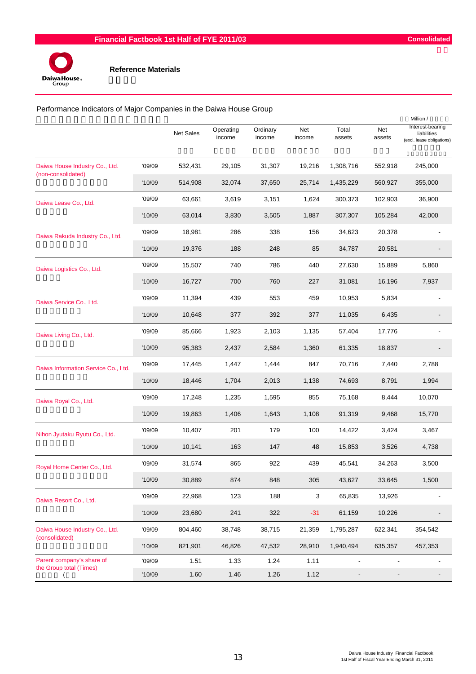

|                                     | Performance Indicators of Major Companies in the Daiwa House Group<br>Million / |                  |                     |                    |               |                 |               |                                                              |  |  |  |  |
|-------------------------------------|---------------------------------------------------------------------------------|------------------|---------------------|--------------------|---------------|-----------------|---------------|--------------------------------------------------------------|--|--|--|--|
|                                     |                                                                                 | <b>Net Sales</b> | Operating<br>income | Ordinary<br>income | Net<br>income | Total<br>assets | Net<br>assets | Interest-bearing<br>liabilities<br>(excl. lease obligations) |  |  |  |  |
| Daiwa House Industry Co., Ltd.      | '09/09                                                                          | 532,431          | 29,105              | 31,307             | 19,216        | 1,308,716       | 552,918       | 245,000                                                      |  |  |  |  |
| (non-consolidated)                  | '10/09                                                                          | 514,908          | 32,074              | 37,650             | 25,714        | 1,435,229       | 560,927       | 355,000                                                      |  |  |  |  |
| Daiwa Lease Co., Ltd.               | '09/09                                                                          | 63,661           | 3,619               | 3,151              | 1,624         | 300,373         | 102,903       | 36,900                                                       |  |  |  |  |
|                                     | '10/09                                                                          | 63,014           | 3,830               | 3,505              | 1,887         | 307,307         | 105,284       | 42,000                                                       |  |  |  |  |
| Daiwa Rakuda Industry Co., Ltd.     | '09/09                                                                          | 18,981           | 286                 | 338                | 156           | 34,623          | 20,378        |                                                              |  |  |  |  |
|                                     | '10/09                                                                          | 19,376           | 188                 | 248                | 85            | 34,787          | 20,581        |                                                              |  |  |  |  |
| Daiwa Logistics Co., Ltd.           | '09/09                                                                          | 15,507           | 740                 | 786                | 440           | 27,630          | 15,889        | 5,860                                                        |  |  |  |  |
|                                     | '10/09                                                                          | 16,727           | 700                 | 760                | 227           | 31,081          | 16,196        | 7,937                                                        |  |  |  |  |
| Daiwa Service Co., Ltd.             | '09/09                                                                          | 11,394           | 439                 | 553                | 459           | 10,953          | 5,834         |                                                              |  |  |  |  |
|                                     | '10/09                                                                          | 10,648           | 377                 | 392                | 377           | 11,035          | 6,435         |                                                              |  |  |  |  |
| Daiwa Living Co., Ltd.              | '09/09                                                                          | 85,666           | 1,923               | 2,103              | 1,135         | 57,404          | 17,776        |                                                              |  |  |  |  |
|                                     | '10/09                                                                          | 95,383           | 2,437               | 2,584              | 1,360         | 61,335          | 18,837        |                                                              |  |  |  |  |
| Daiwa Information Service Co., Ltd. | '09/09                                                                          | 17,445           | 1,447               | 1,444              | 847           | 70,716          | 7,440         | 2,788                                                        |  |  |  |  |
|                                     | '10/09                                                                          | 18,446           | 1,704               | 2,013              | 1,138         | 74,693          | 8,791         | 1,994                                                        |  |  |  |  |
| Daiwa Royal Co., Ltd.               | '09/09                                                                          | 17,248           | 1,235               | 1,595              | 855           | 75,168          | 8,444         | 10,070                                                       |  |  |  |  |
|                                     | '10/09                                                                          | 19,863           | 1,406               | 1,643              | 1,108         | 91,319          | 9,468         | 15,770                                                       |  |  |  |  |
| Nihon Jyutaku Ryutu Co., Ltd.       | '09/09                                                                          | 10,407           | 201                 | 179                | 100           | 14,422          | 3,424         | 3,467                                                        |  |  |  |  |
|                                     | '10/09                                                                          | 10,141           | 163                 | 147                | 48            | 15,853          | 3,526         | 4,738                                                        |  |  |  |  |
| Royal Home Center Co., Ltd.         | '09/09                                                                          | 31,574           | 865                 | 922                | 439           | 45,541          | 34,263        | 3,500                                                        |  |  |  |  |
|                                     | '10/09                                                                          | 30,889           | 874                 | 848                | 305           | 43,627          | 33,645        | 1,500                                                        |  |  |  |  |
| Daiwa Resort Co., Ltd.              | '09/09                                                                          | 22,968           | 123                 | 188                | 3             | 65,835          | 13,926        |                                                              |  |  |  |  |
|                                     | '10/09                                                                          | 23,680           | 241                 | 322                | $-31$         | 61,159          | 10,226        |                                                              |  |  |  |  |
| Daiwa House Industry Co., Ltd.      | '09/09                                                                          | 804,460          | 38,748              | 38,715             | 21,359        | 1,795,287       | 622,341       | 354,542                                                      |  |  |  |  |
| (consolidated)                      | '10/09                                                                          | 821,901          | 46,826              | 47,532             | 28,910        | 1,940,494       | 635,357       | 457,353                                                      |  |  |  |  |
| Parent company's share of           | '09/09                                                                          | 1.51             | 1.33                | 1.24               | 1.11          |                 |               |                                                              |  |  |  |  |
| the Group total (Times)             | '10/09                                                                          | 1.60             | 1.46                | 1.26               | 1.12          |                 |               |                                                              |  |  |  |  |

Daiwa House Industry Financial Factbook<br>1st Half of Fiscal Year Ending March 31, 2011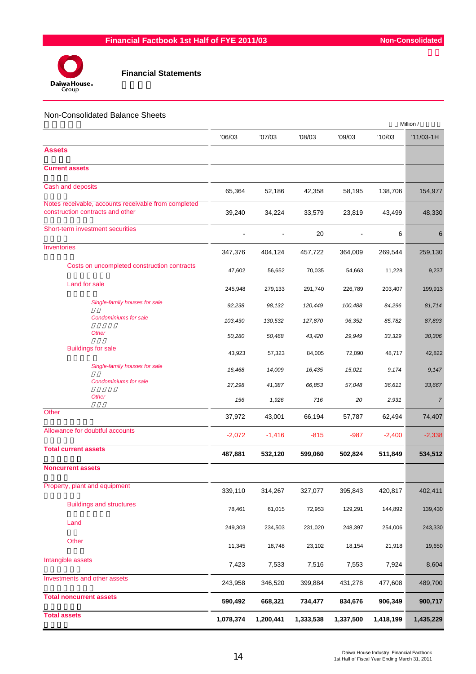

#### Non-Consolidated Balance Sheets

|                                                                                          | Million / |           |           |                |           |             |
|------------------------------------------------------------------------------------------|-----------|-----------|-----------|----------------|-----------|-------------|
|                                                                                          | '06/03    | '07/03    | '08/03    | '09/03         | '10/03    | $'11/03-1H$ |
| <b>Assets</b>                                                                            |           |           |           |                |           |             |
| <b>Current assets</b>                                                                    |           |           |           |                |           |             |
| Cash and deposits                                                                        | 65,364    | 52,186    | 42,358    | 58,195         | 138,706   | 154,977     |
| Notes receivable, accounts receivable from completed<br>construction contracts and other | 39,240    | 34,224    | 33,579    | 23,819         | 43,499    | 48,330      |
| Short-term investment securities                                                         |           |           | 20        | $\blacksquare$ | 6         | 6           |
| Inventories                                                                              | 347,376   | 404,124   | 457,722   | 364,009        | 269,544   | 259,130     |
| Costs on uncompleted construction contracts                                              | 47,602    | 56,652    | 70,035    | 54,663         | 11,228    | 9,237       |
| Land for sale                                                                            | 245,948   | 279,133   | 291,740   | 226,789        | 203,407   | 199,913     |
| Single-family houses for sale                                                            | 92,238    | 98,132    | 120,449   | 100,488        | 84,296    | 81,714      |
| Condominiums for sale                                                                    | 103,430   | 130,532   | 127,870   | 96,352         | 85,782    | 87,893      |
| <b>Other</b>                                                                             | 50,280    | 50,468    | 43,420    | 29,949         | 33,329    | 30,306      |
| <b>Buildings for sale</b>                                                                | 43,923    | 57,323    | 84,005    | 72,090         | 48,717    | 42,822      |
| Single-family houses for sale                                                            | 16,468    | 14,009    | 16,435    | 15,021         | 9,174     | 9,147       |
| Condominiums for sale                                                                    | 27,298    | 41,387    | 66,853    | 57,048         | 36,611    | 33,667      |
| <b>Other</b>                                                                             | 156       | 1,926     | 716       | 20             | 2,931     | 7           |
| Other                                                                                    | 37,972    | 43,001    | 66,194    | 57,787         | 62,494    | 74,407      |
| Allowance for doubtful accounts                                                          | $-2,072$  | $-1,416$  | $-815$    | $-987$         | $-2,400$  | $-2,338$    |
| <b>Total current assets</b>                                                              | 487,881   | 532,120   | 599,060   | 502,824        | 511,849   | 534,512     |
| <b>Noncurrent assets</b>                                                                 |           |           |           |                |           |             |
| Property, plant and equipment                                                            | 339,110   | 314,267   | 327,077   | 395,843        | 420,817   | 402,411     |
| <b>Buildings and structures</b>                                                          | 78,461    | 61,015    | 72,953    | 129,291        | 144,892   | 139,430     |
| Land                                                                                     | 249,303   | 234,503   | 231,020   | 248,397        | 254,006   | 243,330     |
| Other                                                                                    | 11,345    | 18,748    | 23,102    | 18,154         | 21,918    | 19,650      |
| Intangible assets                                                                        | 7,423     | 7,533     | 7,516     | 7,553          | 7,924     | 8,604       |
| Investments and other assets                                                             |           |           |           |                |           |             |
| <b>Total noncurrent assets</b>                                                           | 243,958   | 346,520   | 399,884   | 431,278        | 477,608   | 489,700     |
|                                                                                          | 590,492   | 668,321   | 734,477   | 834,676        | 906,349   | 900,717     |
| <b>Total assets</b>                                                                      | 1,078,374 | 1,200,441 | 1,333,538 | 1,337,500      | 1,418,199 | 1,435,229   |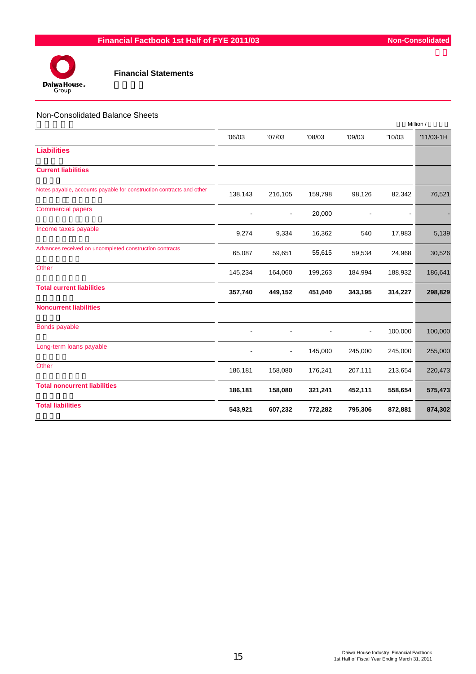

#### Non-Consolidated Balance Sheets

|                                                                      |         |                |         |                |         | Million /   |
|----------------------------------------------------------------------|---------|----------------|---------|----------------|---------|-------------|
|                                                                      | '06/03  | '07/03         | '08/03  | '09/03         | '10/03  | $'11/03-1H$ |
| <b>Liabilities</b>                                                   |         |                |         |                |         |             |
| <b>Current liabilities</b>                                           |         |                |         |                |         |             |
| Notes payable, accounts payable for construction contracts and other | 138,143 | 216,105        | 159,798 | 98,126         | 82,342  | 76,521      |
| <b>Commercial papers</b>                                             |         | $\blacksquare$ | 20,000  |                |         |             |
| Income taxes payable                                                 | 9,274   | 9,334          | 16,362  | 540            | 17,983  | 5,139       |
| Advances received on uncompleted construction contracts              | 65,087  | 59,651         | 55,615  | 59,534         | 24,968  | 30,526      |
| Other                                                                | 145,234 | 164,060        | 199,263 | 184,994        | 188,932 | 186,641     |
| <b>Total current liabilities</b>                                     | 357,740 | 449,152        | 451,040 | 343,195        | 314,227 | 298,829     |
| <b>Noncurrent liabilities</b>                                        |         |                |         |                |         |             |
| Bonds payable                                                        |         |                |         | $\blacksquare$ | 100,000 | 100,000     |
| Long-term loans payable                                              |         | ۰              | 145,000 | 245,000        | 245,000 | 255,000     |
| Other                                                                | 186,181 | 158,080        | 176,241 | 207,111        | 213,654 | 220,473     |
| <b>Total noncurrent liabilities</b>                                  | 186,181 | 158,080        | 321,241 | 452,111        | 558,654 | 575,473     |
| <b>Total liabilities</b>                                             | 543,921 | 607,232        | 772,282 | 795,306        | 872,881 | 874,302     |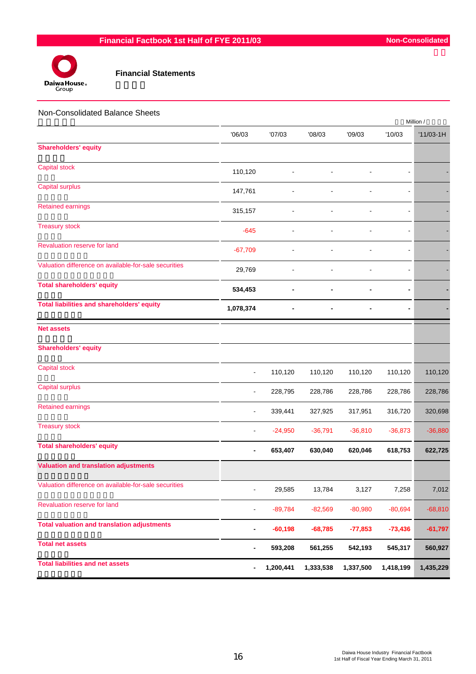

| Non-Consolidated Balance Sheets                       |                |           |           |           |                          | Million /   |
|-------------------------------------------------------|----------------|-----------|-----------|-----------|--------------------------|-------------|
|                                                       | '06/03         | '07/03    | '08/03    | '09/03    | '10/03                   | $'11/03-1H$ |
| <b>Shareholders' equity</b>                           |                |           |           |           |                          |             |
| <b>Capital stock</b>                                  | 110,120        |           |           |           |                          |             |
| <b>Capital surplus</b>                                | 147,761        |           |           |           | L.                       |             |
| <b>Retained earnings</b>                              | 315,157        |           |           |           |                          |             |
| <b>Treasury stock</b>                                 | $-645$         |           |           |           |                          |             |
| Revaluation reserve for land                          | $-67,709$      |           |           |           |                          |             |
| Valuation difference on available-for-sale securities | 29,769         |           |           |           | $\overline{\phantom{0}}$ |             |
| <b>Total shareholders' equity</b>                     | 534,453        |           |           |           |                          |             |
| <b>Total liabilities and shareholders' equity</b>     | 1,078,374      |           |           |           |                          |             |
| <b>Net assets</b>                                     |                |           |           |           |                          |             |
| <b>Shareholders' equity</b>                           |                |           |           |           |                          |             |
| <b>Capital stock</b>                                  |                | 110,120   | 110,120   | 110,120   | 110,120                  | 110,120     |
| <b>Capital surplus</b>                                | L,             | 228,795   | 228,786   | 228,786   | 228,786                  | 228,786     |
| <b>Retained earnings</b>                              |                | 339,441   | 327,925   | 317,951   | 316,720                  | 320,698     |
| <b>Treasury stock</b>                                 |                | $-24,950$ | $-36,791$ | $-36,810$ | $-36,873$                | $-36,880$   |
| <b>Total shareholders' equity</b>                     |                | 653,407   | 630,040   | 620,046   | 618,753                  | 622,725     |
| <b>Valuation and translation adjustments</b>          |                |           |           |           |                          |             |
| Valuation difference on available-for-sale securities | $\overline{a}$ | 29,585    | 13,784    | 3,127     | 7,258                    | 7,012       |
| Revaluation reserve for land                          |                | $-89,784$ | $-82,569$ | $-80,980$ | $-80,694$                | $-68,810$   |
| <b>Total valuation and translation adjustments</b>    |                | $-60,198$ | $-68,785$ | $-77,853$ | $-73,436$                | $-61,797$   |
| <b>Total net assets</b>                               |                | 593,208   | 561,255   | 542,193   | 545,317                  | 560,927     |
| <b>Total liabilities and net assets</b>               | -              | 1,200,441 | 1,333,538 | 1,337,500 | 1,418,199                | 1,435,229   |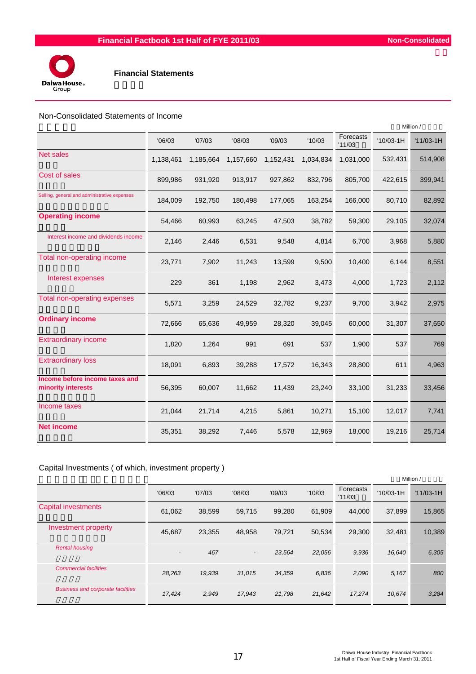

#### Non-Consolidated Statements of Income

|                                                      | Million / |           |           |           |           |                     |             |             |
|------------------------------------------------------|-----------|-----------|-----------|-----------|-----------|---------------------|-------------|-------------|
|                                                      | '06/03    | '07/03    | '08/03    | '09/03    | '10/03    | Forecasts<br>'11/03 | $'10/03-1H$ | $'11/03-1H$ |
| <b>Net sales</b>                                     | 1,138,461 | 1,185,664 | 1,157,660 | 1,152,431 | 1,034,834 | 1,031,000           | 532,431     | 514,908     |
| Cost of sales                                        | 899,986   | 931,920   | 913,917   | 927,862   | 832,796   | 805,700             | 422,615     | 399,941     |
| Selling, general and administrative expenses         | 184,009   | 192,750   | 180,498   | 177,065   | 163,254   | 166,000             | 80,710      | 82,892      |
| <b>Operating income</b>                              | 54,466    | 60,993    | 63,245    | 47,503    | 38,782    | 59,300              | 29,105      | 32,074      |
| Interest income and dividends income                 | 2,146     | 2,446     | 6,531     | 9,548     | 4,814     | 6,700               | 3,968       | 5,880       |
| Total non-operating income                           | 23,771    | 7,902     | 11,243    | 13,599    | 9,500     | 10,400              | 6,144       | 8,551       |
| Interest expenses                                    | 229       | 361       | 1,198     | 2,962     | 3,473     | 4,000               | 1,723       | 2,112       |
| Total non-operating expenses                         | 5,571     | 3,259     | 24,529    | 32,782    | 9,237     | 9,700               | 3,942       | 2,975       |
| <b>Ordinary income</b>                               | 72,666    | 65,636    | 49,959    | 28,320    | 39,045    | 60,000              | 31,307      | 37,650      |
| <b>Extraordinary income</b>                          | 1,820     | 1,264     | 991       | 691       | 537       | 1,900               | 537         | 769         |
| <b>Extraordinary loss</b>                            | 18,091    | 6,893     | 39,288    | 17,572    | 16,343    | 28,800              | 611         | 4,963       |
| Income before income taxes and<br>minority interests | 56,395    | 60,007    | 11,662    | 11,439    | 23,240    | 33,100              | 31,233      | 33,456      |
| Income taxes                                         | 21,044    | 21,714    | 4,215     | 5,861     | 10,271    | 15,100              | 12,017      | 7,741       |
| <b>Net income</b>                                    | 35,351    | 38,292    | 7,446     | 5,578     | 12,969    | 18,000              | 19,216      | 25,714      |
|                                                      |           |           |           |           |           |                     |             |             |

#### Capital Investments ( of which, investment property )

|                                          |                          |        |                          |        |        |                     |             | Million /   |
|------------------------------------------|--------------------------|--------|--------------------------|--------|--------|---------------------|-------------|-------------|
|                                          | '06/03                   | '07/03 | '08/03                   | '09/03 | '10/03 | Forecasts<br>'11/03 | $'10/03-1H$ | $'11/03-1H$ |
| <b>Capital investments</b>               | 61,062                   | 38,599 | 59,715                   | 99,280 | 61.909 | 44.000              | 37,899      | 15,865      |
| Investment property                      | 45,687                   | 23,355 | 48,958                   | 79,721 | 50.534 | 29,300              | 32,481      | 10,389      |
| <b>Rental housing</b>                    | $\overline{\phantom{a}}$ | 467    | $\overline{\phantom{a}}$ | 23,564 | 22,056 | 9,936               | 16,640      | 6,305       |
| <b>Commercial facilities</b>             | 28,263                   | 19.939 | 31.015                   | 34,359 | 6,836  | 2,090               | 5,167       | 800         |
| <b>Business and corporate facilities</b> | 17,424                   | 2,949  | 17,943                   | 21,798 | 21,642 | 17.274              | 10.674      | 3,284       |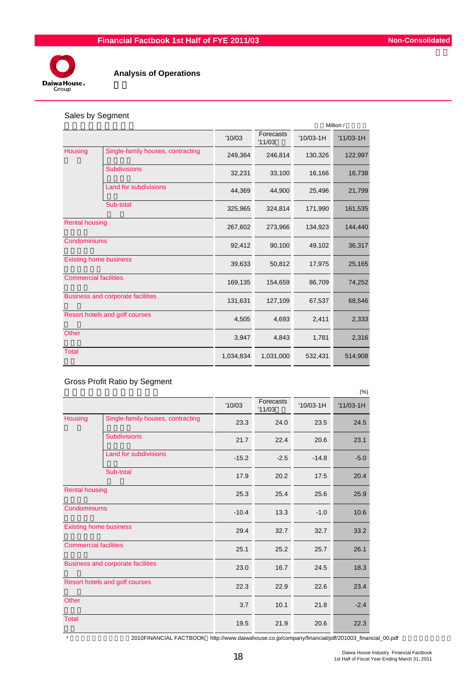

### **Analysis of Operations**

#### Sales by Segment

|                              |                                          | Million / |                     |             |             |  |  |  |
|------------------------------|------------------------------------------|-----------|---------------------|-------------|-------------|--|--|--|
|                              |                                          | '10/03    | Forecasts<br>'11/03 | $'10/03-1H$ | $'11/03-1H$ |  |  |  |
| Housing                      | Single-family houses, contracting        | 249,364   | 246,814             | 130,326     | 122,997     |  |  |  |
|                              | <b>Subdivisions</b>                      | 32,231    | 33,100              | 16,166      | 16,738      |  |  |  |
|                              | Land for subdivisions                    | 44,369    | 44,900              | 25,496      | 21,799      |  |  |  |
| Sub-total                    |                                          | 325,965   | 324,814             | 171,990     | 161,535     |  |  |  |
| <b>Rental housing</b>        |                                          | 267,602   | 273,966             | 134,923     | 144,440     |  |  |  |
| Condominiums                 |                                          | 92,412    | 90,100              | 49,102      | 36,317      |  |  |  |
|                              | <b>Existing home business</b>            | 39,633    | 50,812              | 17,975      | 25,165      |  |  |  |
| <b>Commercial facilities</b> |                                          | 169,135   | 154,659             | 86,709      | 74,252      |  |  |  |
|                              | <b>Business and corporate facilities</b> | 131,631   | 127,109             | 67,537      | 68,546      |  |  |  |
|                              | Resort hotels and golf courses           | 4,505     | 4,693               | 2,411       | 2,333       |  |  |  |
| <b>Other</b>                 |                                          | 3,947     | 4,843               | 1,781       | 2,316       |  |  |  |
| <b>Total</b>                 |                                          | 1,034,834 | 1,031,000           | 532,431     | 514,908     |  |  |  |

Gross Profit Ratio by Segment

|                              |                                          |         |                     |             | (%)         |
|------------------------------|------------------------------------------|---------|---------------------|-------------|-------------|
|                              |                                          | '10/03  | Forecasts<br>'11/03 | $'10/03-1H$ | $'11/03-1H$ |
| Housing                      | Single-family houses, contracting        | 23.3    | 24.0                | 23.5        | 24.5        |
|                              | <b>Subdivisions</b>                      | 21.7    | 22.4                | 20.6        | 23.1        |
|                              | Land for subdivisions                    | $-15.2$ | $-2.5$              | $-14.8$     | $-5.0$      |
|                              | Sub-total                                | 17.9    | 20.2                | 17.5        | 20.4        |
| <b>Rental housing</b>        |                                          | 25.3    | 25.4                | 25.6        | 25.9        |
| Condominiums                 |                                          | $-10.4$ | 13.3                | $-1.0$      | 10.6        |
|                              | <b>Existing home business</b>            | 29.4    | 32.7                | 32.7        | 33.2        |
| <b>Commercial facilities</b> |                                          | 25.1    | 25.2                | 25.7        | 26.1        |
|                              | <b>Business and corporate facilities</b> | 23.0    | 16.7                | 24.5        | 18.3        |
|                              | Resort hotels and golf courses           | 22.3    | 22.9                | 22.6        | 23.4        |
| Other                        |                                          | 3.7     | 10.1                | 21.8        | $-2.4$      |
| <b>Total</b>                 |                                          | 19.5    | 21.9                | 20.6        | 22.3        |

\* 2010FINANCIAL FACTBOOK http://www.daiwahouse.co.jp/company/financial/pdf/201003\_financial\_00.pdf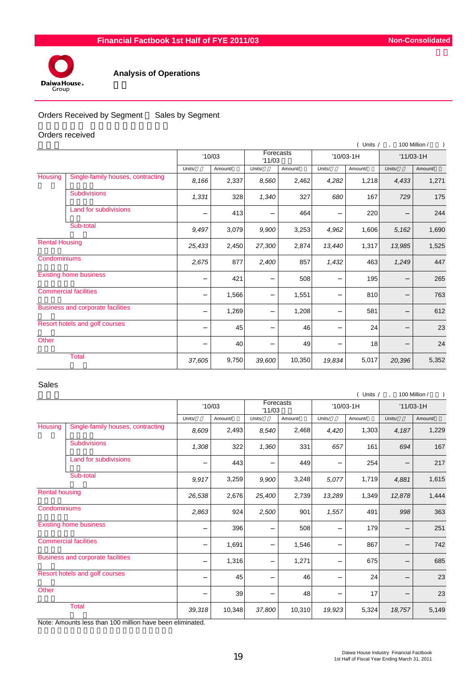

#### **Analysis of Operations**

#### Orders Received by Segment Sales by Segment

#### Orders received

|                       |                                          |        |         |                     |         |           | ( Units / |        | 100 Million / |
|-----------------------|------------------------------------------|--------|---------|---------------------|---------|-----------|-----------|--------|---------------|
|                       |                                          |        | '10/03  | Forecasts<br>'11/03 |         | '10/03-1H |           |        | $'11/03-1H$   |
|                       |                                          | Units/ | Amount/ | Units/              | Amount/ | Units/    | Amount/   | Units/ | Amount/       |
| Housing               | Single-family houses, contracting        | 8,166  | 2,337   | 8,560               | 2,462   | 4,282     | 1,218     | 4,433  | 1,271         |
|                       | <b>Subdivisions</b>                      | 1,331  | 328     | 1,340               | 327     | 680       | 167       | 729    | 175           |
|                       | Land for subdivisions                    |        | 413     |                     | 464     |           | 220       |        | 244           |
|                       | Sub-total                                | 9,497  | 3,079   | 9,900               | 3,253   | 4,962     | 1,606     | 5,162  | 1,690         |
| <b>Rental Housing</b> |                                          | 25,433 | 2,450   | 27,300              | 2,874   | 13,440    | 1,317     | 13,985 | 1,525         |
| Condominiums          |                                          | 2,675  | 877     | 2,400               | 857     | 1,432     | 463       | 1,249  | 447           |
|                       | <b>Existing home business</b>            |        | 421     |                     | 508     |           | 195       |        | 265           |
|                       | <b>Commercial facilities</b>             |        | 1,566   |                     | 1,551   |           | 810       |        | 763           |
|                       | <b>Business and corporate facilities</b> |        | 1,269   |                     | 1,208   |           | 581       |        | 612           |
|                       | Resort hotels and golf courses           |        | 45      |                     | 46      |           | 24        |        | 23            |
| Other                 |                                          |        | 40      |                     | 49      |           | 18        |        | 24            |
|                       | <b>Total</b>                             | 37,605 | 9,750   | 39,600              | 10,350  | 19,834    | 5,017     | 20,396 | 5,352         |

#### Sales

|                       |                                          |        |                               |        |         |           | ( Units / |        | 100 Million / |
|-----------------------|------------------------------------------|--------|-------------------------------|--------|---------|-----------|-----------|--------|---------------|
|                       |                                          |        | Forecasts<br>'10/03<br>'11/03 |        |         | '10/03-1H |           |        | $'11/03-1H$   |
|                       |                                          | Units/ | Amount/                       | Units/ | Amount/ | Units/    | Amount/   | Units/ | Amount/       |
| Housing               | Single-family houses, contracting        | 8,609  | 2,493                         | 8,540  | 2,468   | 4,420     | 1,303     | 4,187  | 1,229         |
|                       | <b>Subdivisions</b>                      | 1,308  | 322                           | 1,360  | 331     | 657       | 161       | 694    | 167           |
|                       | Land for subdivisions                    |        | 443                           |        | 449     |           | 254       |        | 217           |
|                       | Sub-total                                | 9,917  | 3,259                         | 9,900  | 3,248   | 5,077     | 1,719     | 4,881  | 1,615         |
| <b>Rental housing</b> |                                          | 26,538 | 2,676                         | 25,400 | 2,739   | 13,289    | 1,349     | 12,878 | 1,444         |
| Condominiums          |                                          | 2,863  | 924                           | 2,500  | 901     | 1,557     | 491       | 998    | 363           |
|                       | <b>Existing home business</b>            |        | 396                           |        | 508     |           | 179       |        | 251           |
|                       | <b>Commercial facilities</b>             |        | 1,691                         |        | 1,546   |           | 867       |        | 742           |
|                       | <b>Business and corporate facilities</b> |        | 1,316                         |        | 1,271   |           | 675       |        | 685           |
|                       | Resort hotels and golf courses           |        | 45                            |        | 46      |           | 24        |        | 23            |
| Other                 |                                          |        | 39                            |        | 48      |           | 17        |        | 23            |
|                       | <b>Total</b>                             | 39,318 | 10,348                        | 37,800 | 10,310  | 19,923    | 5,324     | 18,757 | 5,149         |

Note: Amounts less than 100 million have been eliminated.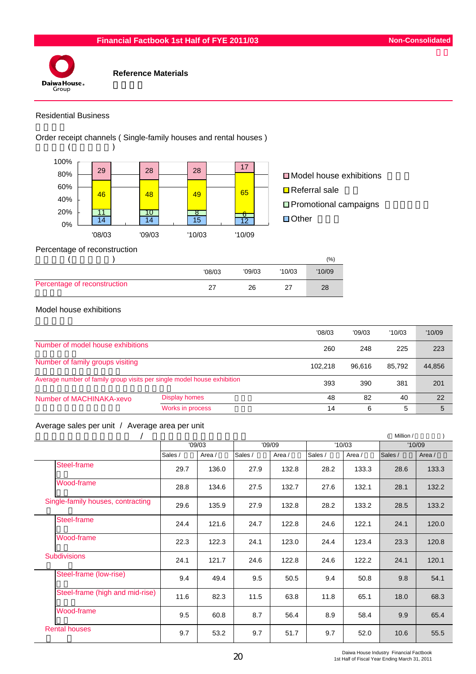

#### Residential Business

Order receipt channels ( Single-family houses and rental houses )



 $\Box$  Model house exhibitions  $\Box$  Referral sale ■ Promotional campaigns □ Other

Percentage of reconstruction

|                              |        |        |        | (%)    |
|------------------------------|--------|--------|--------|--------|
|                              | '08/03 | '09/03 | '10/03 | '10/09 |
| Percentage of reconstruction |        | 26     | 27     | 28     |

#### Model house exhibitions

|                                                                         |                      | '08/03  | '09/03                     | '10/03 | '10/09 |
|-------------------------------------------------------------------------|----------------------|---------|----------------------------|--------|--------|
| Number of model house exhibitions                                       |                      | 260     | 248                        | 225    | 223    |
| Number of family groups visiting                                        |                      | 102.218 | 44,856<br>85.792<br>96.616 |        |        |
| Average number of family group visits per single model house exhibition |                      | 393     | 201<br>390<br>381          |        |        |
| Number of MACHINAKA-xevo                                                | <b>Display homes</b> | 48      | 82                         | 40     | 22     |
|                                                                         | Works in process     | 14      | 6                          | 5      | 5      |

#### Average sales per unit / Average area per unit

|                                   |         |        |         |        |         |        | Million / |        |
|-----------------------------------|---------|--------|---------|--------|---------|--------|-----------|--------|
|                                   | '09/03  |        | '09/09  |        | '10/03  |        | '10/09    |        |
|                                   | Sales / | Area / | Sales / | Area / | Sales / | Area / | Sales /   | Area / |
| Steel-frame                       | 29.7    | 136.0  | 27.9    | 132.8  | 28.2    | 133.3  | 28.6      | 133.3  |
| Wood-frame                        | 28.8    | 134.6  | 27.5    | 132.7  | 27.6    | 132.1  | 28.1      | 132.2  |
| Single-family houses, contracting | 29.6    | 135.9  | 27.9    | 132.8  | 28.2    | 133.2  | 28.5      | 133.2  |
| Steel-frame                       | 24.4    | 121.6  | 24.7    | 122.8  | 24.6    | 122.1  | 24.1      | 120.0  |
| Wood-frame                        | 22.3    | 122.3  | 24.1    | 123.0  | 24.4    | 123.4  | 23.3      | 120.8  |
| <b>Subdivisions</b>               | 24.1    | 121.7  | 24.6    | 122.8  | 24.6    | 122.2  | 24.1      | 120.1  |
| Steel-frame (low-rise)            | 9.4     | 49.4   | 9.5     | 50.5   | 9.4     | 50.8   | 9.8       | 54.1   |
| Steel-frame (high and mid-rise)   | 11.6    | 82.3   | 11.5    | 63.8   | 11.8    | 65.1   | 18.0      | 68.3   |
| Wood-frame                        | 9.5     | 60.8   | 8.7     | 56.4   | 8.9     | 58.4   | 9.9       | 65.4   |
| <b>Rental houses</b>              | 9.7     | 53.2   | 9.7     | 51.7   | 9.7     | 52.0   | 10.6      | 55.5   |